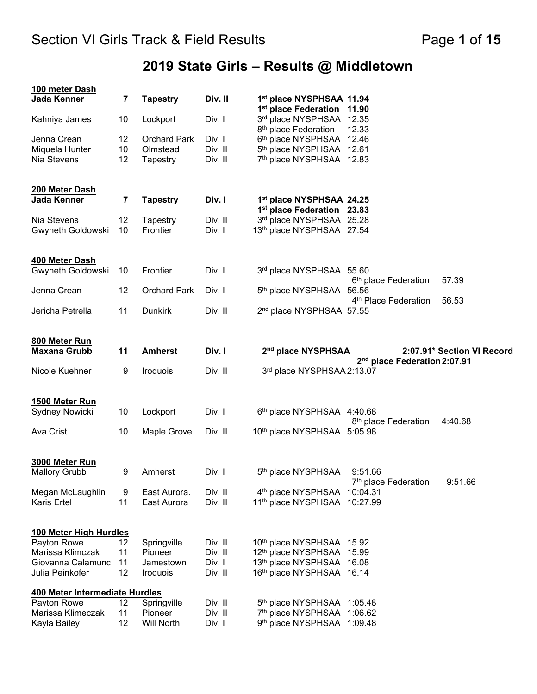# **2019 State Girls – Results @ Middletown**

| 100 meter Dash                 |          |                              |                   |                                                              |                                             |                            |
|--------------------------------|----------|------------------------------|-------------------|--------------------------------------------------------------|---------------------------------------------|----------------------------|
| Jada Kenner                    | 7        | <b>Tapestry</b>              | Div. II           | 1st place NYSPHSAA 11.94<br>1 <sup>st</sup> place Federation | 11.90                                       |                            |
| Kahniya James                  | 10       | Lockport                     | Div. I            | 3rd place NYSPHSAA 12.35                                     |                                             |                            |
|                                |          |                              |                   | 8 <sup>th</sup> place Federation                             | 12.33                                       |                            |
| Jenna Crean                    | 12       | <b>Orchard Park</b>          | Div. I            | 6th place NYSPHSAA 12.46                                     |                                             |                            |
| Miquela Hunter                 | 10       | Olmstead                     | Div. II           | 5th place NYSPHSAA 12.61                                     |                                             |                            |
| Nia Stevens                    | 12       | Tapestry                     | Div. II           | 7th place NYSPHSAA 12.83                                     |                                             |                            |
| 200 Meter Dash                 |          |                              |                   |                                                              |                                             |                            |
| Jada Kenner                    | 7        | <b>Tapestry</b>              | Div. I            | 1st place NYSPHSAA 24.25                                     |                                             |                            |
|                                |          |                              |                   | 1 <sup>st</sup> place Federation 23.83                       |                                             |                            |
| Nia Stevens                    | 12       | Tapestry                     | Div. II           | 3rd place NYSPHSAA 25.28                                     |                                             |                            |
| Gwyneth Goldowski              | 10       | Frontier                     | Div. I            | 13th place NYSPHSAA 27.54                                    |                                             |                            |
| 400 Meter Dash                 |          |                              |                   |                                                              |                                             |                            |
| Gwyneth Goldowski              | 10       | Frontier                     | Div. I            | 3rd place NYSPHSAA 55.60                                     |                                             |                            |
|                                |          |                              |                   |                                                              | 6 <sup>th</sup> place Federation            | 57.39                      |
| Jenna Crean                    | 12       | <b>Orchard Park</b>          | Div. I            | 5 <sup>th</sup> place NYSPHSAA                               | 56.56<br>4 <sup>th</sup> Place Federation   | 56.53                      |
| Jericha Petrella               | 11       | <b>Dunkirk</b>               | Div. II           | 2 <sup>nd</sup> place NYSPHSAA 57.55                         |                                             |                            |
| 800 Meter Run                  |          |                              |                   |                                                              |                                             |                            |
| <b>Maxana Grubb</b>            | 11       | <b>Amherst</b>               | Div. I            | 2 <sup>nd</sup> place NYSPHSAA                               |                                             | 2:07.91* Section VI Record |
|                                |          |                              |                   |                                                              | 2 <sup>nd</sup> place Federation 2:07.91    |                            |
| Nicole Kuehner                 | 9        | Iroquois                     | Div. II           | 3rd place NYSPHSAA 2:13.07                                   |                                             |                            |
| 1500 Meter Run                 |          |                              |                   |                                                              |                                             |                            |
| Sydney Nowicki                 | 10       | Lockport                     | Div. I            | 6 <sup>th</sup> place NYSPHSAA 4:40.68                       |                                             |                            |
|                                |          |                              |                   |                                                              | 8 <sup>th</sup> place Federation            | 4:40.68                    |
| Ava Crist                      | 10       | Maple Grove                  | Div. II           | 10th place NYSPHSAA 5:05.98                                  |                                             |                            |
| 3000 Meter Run                 |          |                              |                   |                                                              |                                             |                            |
| <b>Mallory Grubb</b>           | 9        | Amherst                      | Div. I            | 5 <sup>th</sup> place NYSPHSAA                               | 9:51.66<br>7 <sup>th</sup> place Federation | 9:51.66                    |
| Megan McLaughlin               | 9        | East Aurora.                 | Div. II           | 4 <sup>th</sup> place NYSPHSAA                               | 10:04.31                                    |                            |
| Karis Ertel                    | 11       | East Aurora                  | Div. II           | 11 <sup>th</sup> place NYSPHSAA                              | 10:27.99                                    |                            |
| 100 Meter High Hurdles         |          |                              |                   |                                                              |                                             |                            |
| Payton Rowe                    | 12       | Springville                  | Div. II           | 10th place NYSPHSAA 15.92                                    |                                             |                            |
| Marissa Klimczak               | 11       | Pioneer                      | Div. II           | 12th place NYSPHSAA 15.99                                    |                                             |                            |
| Giovanna Calamunci             | 11       | Jamestown                    | Div. I            | 13th place NYSPHSAA 16.08                                    |                                             |                            |
| Julia Peinkofer                | 12       | Iroquois                     | Div. II           | 16th place NYSPHSAA 16.14                                    |                                             |                            |
| 400 Meter Intermediate Hurdles |          |                              |                   |                                                              |                                             |                            |
| Payton Rowe                    | 12       | Springville                  | Div. II           | 5th place NYSPHSAA 1:05.48                                   |                                             |                            |
| Marissa Klimeczak              |          |                              |                   |                                                              |                                             |                            |
| Kayla Bailey                   | 11<br>12 | Pioneer<br><b>Will North</b> | Div. II<br>Div. I | 7th place NYSPHSAA 1:06.62<br>9th place NYSPHSAA 1:09.48     |                                             |                            |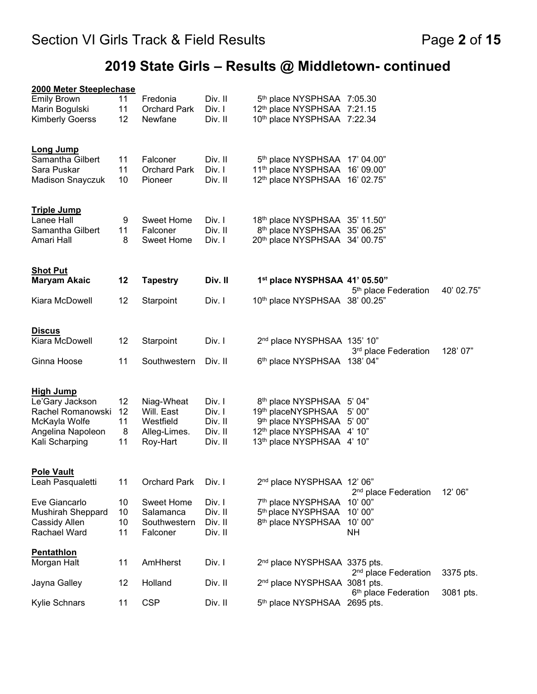# **2019 State Girls – Results @ Middletown- continued**

| 2000 Meter Steeplechase                |          |                                |                    |                                                                   |                                            |            |
|----------------------------------------|----------|--------------------------------|--------------------|-------------------------------------------------------------------|--------------------------------------------|------------|
| <b>Emily Brown</b>                     | 11       | Fredonia                       | Div. II            | 5th place NYSPHSAA 7:05.30                                        |                                            |            |
| Marin Bogulski                         | 11       | <b>Orchard Park</b>            | Div. I             | 12th place NYSPHSAA 7:21.15                                       |                                            |            |
| <b>Kimberly Goerss</b>                 | 12       | Newfane                        | Div. II            | 10th place NYSPHSAA 7:22.34                                       |                                            |            |
| <b>Long Jump</b>                       |          |                                |                    |                                                                   |                                            |            |
| Samantha Gilbert                       | 11       | Falconer                       | Div. II            | 5th place NYSPHSAA 17' 04.00"                                     |                                            |            |
| Sara Puskar<br><b>Madison Snayczuk</b> | 11<br>10 | <b>Orchard Park</b><br>Pioneer | Div. I<br>Div. II  | 11th place NYSPHSAA 16' 09.00"<br>12th place NYSPHSAA 16' 02.75"  |                                            |            |
|                                        |          |                                |                    |                                                                   |                                            |            |
| <b>Triple Jump</b>                     |          |                                |                    |                                                                   |                                            |            |
| Lanee Hall                             | 9        | <b>Sweet Home</b>              | Div. I             | 18th place NYSPHSAA 35' 11.50"                                    |                                            |            |
| Samantha Gilbert<br>Amari Hall         | 11<br>8  | Falconer<br><b>Sweet Home</b>  | Div. II<br>Div. I  | 8th place NYSPHSAA 35' 06.25"<br>20th place NYSPHSAA 34' 00.75"   |                                            |            |
|                                        |          |                                |                    |                                                                   |                                            |            |
| <b>Shot Put</b>                        |          |                                |                    |                                                                   |                                            |            |
| <b>Maryam Akaic</b>                    | 12       | <b>Tapestry</b>                | Div. II            | 1st place NYSPHSAA 41' 05.50"                                     | 5 <sup>th</sup> place Federation           | 40' 02.75" |
| Kiara McDowell                         | 12       | Starpoint                      | Div. I             | 10th place NYSPHSAA 38' 00.25"                                    |                                            |            |
| <b>Discus</b>                          |          |                                |                    |                                                                   |                                            |            |
| Kiara McDowell                         | 12       | Starpoint                      | Div. I             | 2 <sup>nd</sup> place NYSPHSAA 135' 10"                           |                                            |            |
|                                        |          |                                |                    |                                                                   | 3 <sup>rd</sup> place Federation           | 128'07"    |
| Ginna Hoose                            | 11       | Southwestern                   | Div. II            | 6th place NYSPHSAA 138' 04"                                       |                                            |            |
| <b>High Jump</b>                       |          |                                |                    |                                                                   |                                            |            |
| Le'Gary Jackson                        | 12       | Niag-Wheat                     | Div. I             | 8 <sup>th</sup> place NYSPHSAA                                    | 5' 04"                                     |            |
| Rachel Romanowski                      | 12       | Will. East                     | Div. I             | 19th placeNYSPHSAA                                                | 5' 00"                                     |            |
| McKayla Wolfe<br>Angelina Napoleon     | 11<br>8  | Westfield<br>Alleg-Limes.      | Div. II<br>Div. II | 9 <sup>th</sup> place NYSPHSAA<br>12 <sup>th</sup> place NYSPHSAA | 5'00"<br>4'10''                            |            |
| Kali Scharping                         | 11       | Roy-Hart                       | Div. II            | 13th place NYSPHSAA 4' 10"                                        |                                            |            |
|                                        |          |                                |                    |                                                                   |                                            |            |
| <b>Pole Vault</b>                      |          |                                |                    |                                                                   |                                            |            |
| Leah Pasqualetti                       | 11       | <b>Orchard Park</b>            | Div. I             | 2 <sup>nd</sup> place NYSPHSAA 12' 06"                            |                                            | 12' 06"    |
| Eve Giancarlo                          | 10       | <b>Sweet Home</b>              | Div. I             | 7 <sup>th</sup> place NYSPHSAA                                    | 2 <sup>nd</sup> place Federation<br>10'00" |            |
| <b>Mushirah Sheppard</b>               | 10       | Salamanca                      | Div. II            | 5 <sup>th</sup> place NYSPHSAA                                    | 10' 00"                                    |            |
| Cassidy Allen                          | 10       | Southwestern                   | Div. II            | 8 <sup>th</sup> place NYSPHSAA                                    | 10' 00"                                    |            |
| Rachael Ward                           | 11       | Falconer                       | Div. II            |                                                                   | <b>NH</b>                                  |            |
| <b>Pentathlon</b>                      |          |                                |                    |                                                                   |                                            |            |
| Morgan Halt                            | 11       | AmHherst                       | Div. I             | 2 <sup>nd</sup> place NYSPHSAA 3375 pts.                          | 2 <sup>nd</sup> place Federation           | 3375 pts.  |
| Jayna Galley                           | 12       | Holland                        | Div. II            | 2 <sup>nd</sup> place NYSPHSAA 3081 pts.                          | 6 <sup>th</sup> place Federation           | 3081 pts.  |
| Kylie Schnars                          | 11       | <b>CSP</b>                     | Div. II            | 5th place NYSPHSAA 2695 pts.                                      |                                            |            |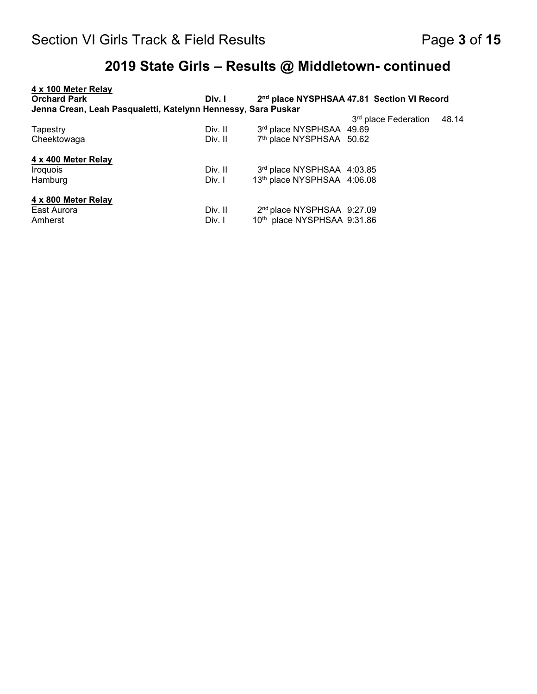| 4 x 100 Meter Relay                                           |         |                                        |                                                        |       |
|---------------------------------------------------------------|---------|----------------------------------------|--------------------------------------------------------|-------|
| <b>Orchard Park</b>                                           | Div. I  |                                        | 2 <sup>nd</sup> place NYSPHSAA 47.81 Section VI Record |       |
| Jenna Crean, Leah Pasqualetti, Katelynn Hennessy, Sara Puskar |         |                                        |                                                        |       |
|                                                               |         |                                        | 3 <sup>rd</sup> place Federation                       | 48.14 |
| Tapestry                                                      | Div. II | 3rd place NYSPHSAA 49.69               |                                                        |       |
| Cheektowaga                                                   | Div. II | 7th place NYSPHSAA 50.62               |                                                        |       |
| 4 x 400 Meter Relay                                           |         |                                        |                                                        |       |
| Iroquois                                                      | Div. II | 3rd place NYSPHSAA 4:03.85             |                                                        |       |
| Hamburg                                                       | Div. I  | 13th place NYSPHSAA 4:06.08            |                                                        |       |
| 4 x 800 Meter Relay                                           |         |                                        |                                                        |       |
| East Aurora                                                   | Div. II | 2 <sup>nd</sup> place NYSPHSAA 9:27.09 |                                                        |       |
| Amherst                                                       | Div. I  | 10th place NYSPHSAA 9:31.86            |                                                        |       |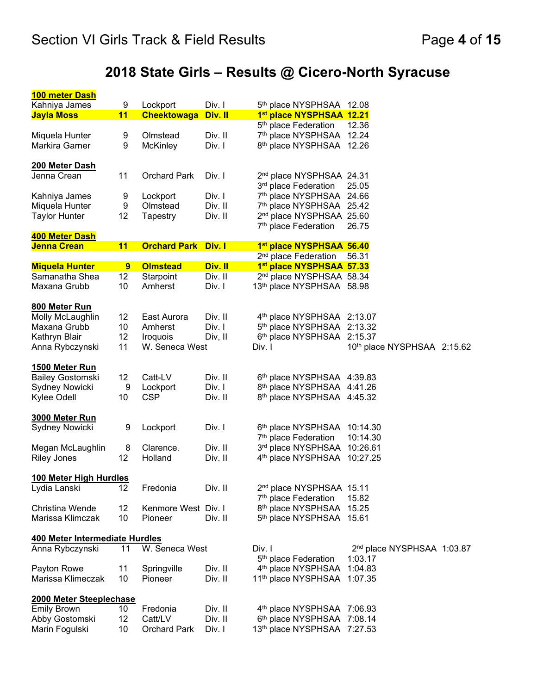# **2018 State Girls – Results @ Cicero-North Syracuse**

| 100 meter Dash                 |    |                            |         |                                        |                                        |  |
|--------------------------------|----|----------------------------|---------|----------------------------------------|----------------------------------------|--|
| Kahniya James                  | 9  | Lockport                   | Div. I  | 5th place NYSPHSAA 12.08               |                                        |  |
| <b>Jayla Moss</b>              | 11 | <b>Cheektowaga</b>         | Div. II | 1st place NYSPHSAA 12.21               |                                        |  |
|                                |    |                            |         | 5 <sup>th</sup> place Federation       | 12.36                                  |  |
| Miquela Hunter                 | 9  | Olmstead                   | Div. II | 7 <sup>th</sup> place NYSPHSAA         | 12.24                                  |  |
| Markira Garner                 | 9  | <b>McKinley</b>            | Div. I  | 8 <sup>th</sup> place NYSPHSAA         | 12.26                                  |  |
|                                |    |                            |         |                                        |                                        |  |
| <b>200 Meter Dash</b>          |    |                            |         |                                        |                                        |  |
| Jenna Crean                    | 11 | <b>Orchard Park</b>        | Div. I  | 2 <sup>nd</sup> place NYSPHSAA 24.31   |                                        |  |
|                                |    |                            |         | 3rd place Federation                   | 25.05                                  |  |
| Kahniya James                  | 9  | Lockport                   | Div. I  | 7th place NYSPHSAA 24.66               |                                        |  |
| Miquela Hunter                 | 9  | Olmstead                   | Div. II | 7th place NYSPHSAA 25.42               |                                        |  |
| <b>Taylor Hunter</b>           | 12 | Tapestry                   | Div. II | 2 <sup>nd</sup> place NYSPHSAA 25.60   |                                        |  |
|                                |    |                            |         | 7 <sup>th</sup> place Federation       | 26.75                                  |  |
| 400 Meter Dash                 |    |                            |         |                                        |                                        |  |
| <b>Jenna Crean</b>             | 11 | <b>Orchard Park Div. I</b> |         | 1st place NYSPHSAA 56.40               |                                        |  |
|                                |    |                            |         | 2 <sup>nd</sup> place Federation       | 56.31                                  |  |
| <b>Miquela Hunter</b>          | 9  | <b>Olmstead</b>            | Div. II | 1st place NYSPHSAA 57.33               |                                        |  |
| Samanatha Shea                 | 12 | Starpoint                  | Div. II | 2 <sup>nd</sup> place NYSPHSAA 58.34   |                                        |  |
| Maxana Grubb                   | 10 | Amherst                    | Div. I  | 13th place NYSPHSAA 58.98              |                                        |  |
|                                |    |                            |         |                                        |                                        |  |
| 800 Meter Run                  |    |                            |         |                                        |                                        |  |
| Molly McLaughlin               | 12 | East Aurora                | Div. II | 4th place NYSPHSAA 2:13.07             |                                        |  |
| Maxana Grubb                   | 10 | Amherst                    | Div. I  | 5 <sup>th</sup> place NYSPHSAA         | 2:13.32                                |  |
| Kathryn Blair                  | 12 | Iroquois                   | Div, II | 6 <sup>th</sup> place NYSPHSAA         | 2:15.37                                |  |
| Anna Rybczynski                | 11 | W. Seneca West             |         | Div. I                                 | 10th place NYSPHSAA 2:15.62            |  |
|                                |    |                            |         |                                        |                                        |  |
| 1500 Meter Run                 |    |                            |         |                                        |                                        |  |
| <b>Bailey Gostomski</b>        | 12 | Catt-LV                    | Div. II | 6th place NYSPHSAA 4:39.83             |                                        |  |
| Sydney Nowicki                 | 9  | Lockport                   | Div. I  | 8th place NYSPHSAA 4:41.26             |                                        |  |
| Kylee Odell                    | 10 | <b>CSP</b>                 | Div. II | 8th place NYSPHSAA 4:45.32             |                                        |  |
|                                |    |                            |         |                                        |                                        |  |
| 3000 Meter Run                 |    |                            |         |                                        |                                        |  |
| Sydney Nowicki                 | 9  | Lockport                   | Div. I  | 6th place NYSPHSAA 10:14.30            |                                        |  |
|                                |    |                            |         | 7 <sup>th</sup> place Federation       | 10:14.30                               |  |
| Megan McLaughlin               | 8  | Clarence.                  | Div. II | 3rd place NYSPHSAA                     | 10:26.61                               |  |
| <b>Riley Jones</b>             | 12 | Holland                    | Div. II | 4 <sup>th</sup> place NYSPHSAA         | 10:27.25                               |  |
| 100 Meter High Hurdles         |    |                            |         |                                        |                                        |  |
| Lydia Lanski                   | 12 | Fredonia                   | Div. II | 2 <sup>nd</sup> place NYSPHSAA 15.11   |                                        |  |
|                                |    |                            |         | 7 <sup>th</sup> place Federation       | 15.82                                  |  |
| Christina Wende                | 12 | Kenmore West Div. I        |         | 8th place NYSPHSAA 15.25               |                                        |  |
| Marissa Klimczak               | 10 | Pioneer                    | Div. II | 5th place NYSPHSAA 15.61               |                                        |  |
|                                |    |                            |         |                                        |                                        |  |
| 400 Meter Intermediate Hurdles |    |                            |         |                                        |                                        |  |
| Anna Rybczynski                | 11 | W. Seneca West             |         | Div. I                                 | 2 <sup>nd</sup> place NYSPHSAA 1:03.87 |  |
|                                |    |                            |         | 5 <sup>th</sup> place Federation       | 1:03.17                                |  |
| Payton Rowe                    | 11 | Springville                | Div. II | 4 <sup>th</sup> place NYSPHSAA         | 1:04.83                                |  |
| Marissa Klimeczak              | 10 | Pioneer                    | Div. II | 11 <sup>th</sup> place NYSPHSAA        | 1:07.35                                |  |
|                                |    |                            |         |                                        |                                        |  |
| 2000 Meter Steeplechase        |    |                            |         |                                        |                                        |  |
| <b>Emily Brown</b>             | 10 | Fredonia                   | Div. II | 4 <sup>th</sup> place NYSPHSAA 7:06.93 |                                        |  |
| Abby Gostomski                 | 12 | Catt/LV                    | Div. II | 6th place NYSPHSAA 7:08.14             |                                        |  |
| Marin Fogulski                 | 10 | <b>Orchard Park</b>        | Div. I  | 13th place NYSPHSAA 7:27.53            |                                        |  |
|                                |    |                            |         |                                        |                                        |  |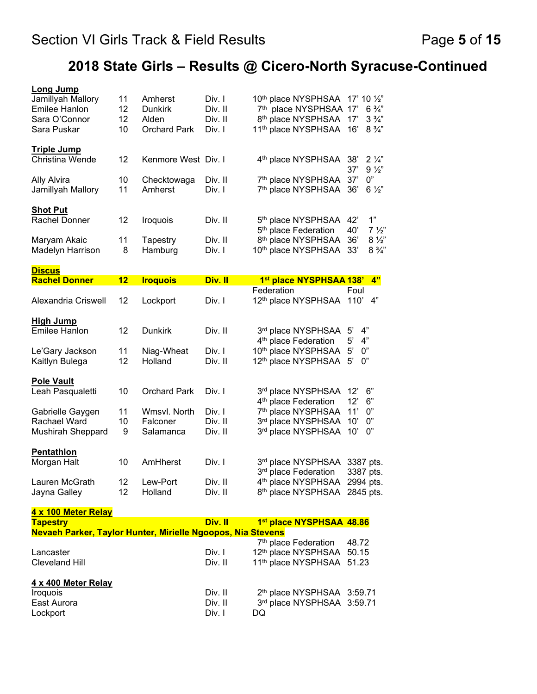# **2018 State Girls – Results @ Cicero-North Syracuse-Continued**

| 1st place NYSPHSAA 138'<br>4"<br>Foul<br>12th place NYSPHSAA 110'<br>4"<br>4"<br>4"<br>0"<br>0"<br>6"<br>$12^{\circ}$<br>12'<br>6"<br>0"<br>11'<br>0"<br>10'<br>10'<br>0"<br>3387 pts.<br>3387 pts.<br>2994 pts.<br>2845 pts.<br>1st place NYSPHSAA 48.86 |
|-----------------------------------------------------------------------------------------------------------------------------------------------------------------------------------------------------------------------------------------------------------|
|                                                                                                                                                                                                                                                           |
|                                                                                                                                                                                                                                                           |
|                                                                                                                                                                                                                                                           |
|                                                                                                                                                                                                                                                           |
|                                                                                                                                                                                                                                                           |
|                                                                                                                                                                                                                                                           |
|                                                                                                                                                                                                                                                           |
|                                                                                                                                                                                                                                                           |
|                                                                                                                                                                                                                                                           |
|                                                                                                                                                                                                                                                           |
|                                                                                                                                                                                                                                                           |
|                                                                                                                                                                                                                                                           |
|                                                                                                                                                                                                                                                           |
|                                                                                                                                                                                                                                                           |
|                                                                                                                                                                                                                                                           |
|                                                                                                                                                                                                                                                           |
| 33'<br>$8\frac{3}{4}$ "                                                                                                                                                                                                                                   |
| 36'<br>$8\frac{1}{2}$                                                                                                                                                                                                                                     |
| 1"<br>42'<br>40'<br>$7\frac{1}{2}$                                                                                                                                                                                                                        |
|                                                                                                                                                                                                                                                           |
| $6\frac{1}{2}$<br>36'                                                                                                                                                                                                                                     |
| 37'<br>$9\frac{1}{2}$<br>37'<br>$0"$                                                                                                                                                                                                                      |
| 4 <sup>th</sup> place NYSPHSAA 38'<br>$2\frac{1}{4}$                                                                                                                                                                                                      |
| 16'<br>$8\frac{3}{4}$ "                                                                                                                                                                                                                                   |
| 8th place NYSPHSAA 17'<br>$3\frac{3}{4}$                                                                                                                                                                                                                  |
| 10th place NYSPHSAA 17' 10 1/2"<br>7th place NYSPHSAA 17'<br>$6\frac{3}{4}$ "                                                                                                                                                                             |
|                                                                                                                                                                                                                                                           |

| <u>INGVACITT AINGI, TAYIVI TIUHLGI, MIIHGIIG NYUUPUS, NIA OLGVOIIS</u> |         |                                        |       |
|------------------------------------------------------------------------|---------|----------------------------------------|-------|
|                                                                        |         | 7 <sup>th</sup> place Federation       | 48.72 |
| Lancaster                                                              | Div. I  | 12th place NYSPHSAA 50.15              |       |
| Cleveland Hill                                                         | Div. II | 11th place NYSPHSAA 51.23              |       |
| 4 x 400 Meter Relay                                                    |         |                                        |       |
| <i><u><b>Iroquois</b></u></i>                                          | Div. II | 2 <sup>th</sup> place NYSPHSAA 3:59.71 |       |
| East Aurora                                                            | Div. II | 3rd place NYSPHSAA 3:59.71             |       |
| Lockport                                                               | Div. I  | DQ                                     |       |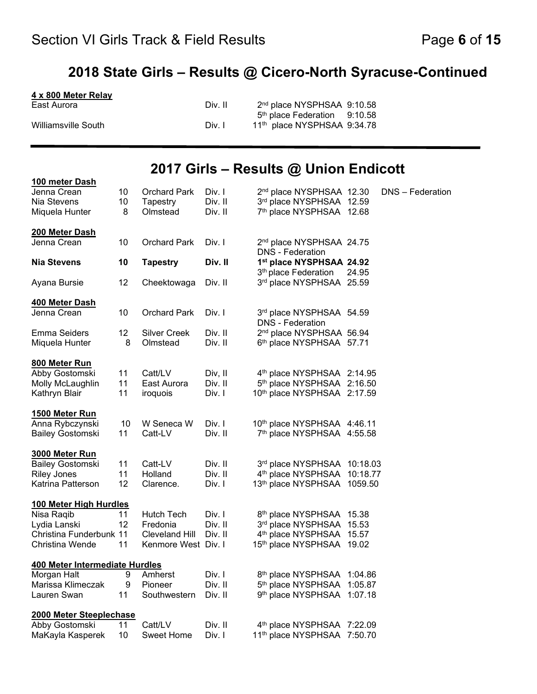### **2018 State Girls – Results @ Cicero-North Syracuse-Continued**

| 4 x 800 Meter Relay |         |                                          |  |
|---------------------|---------|------------------------------------------|--|
| East Aurora         | Div. II | 2 <sup>nd</sup> place NYSPHSAA 9:10.58   |  |
|                     |         | 5 <sup>th</sup> place Federation 9:10.58 |  |
| Williamsville South | Div. I  | 11th place NYSPHSAA 9:34.78              |  |

### **2017 Girls – Results @ Union Endicott**

| 100 meter Dash                 |    |                       |         |                                                     |          |                  |
|--------------------------------|----|-----------------------|---------|-----------------------------------------------------|----------|------------------|
| Jenna Crean                    | 10 | <b>Orchard Park</b>   | Div. I  | 2 <sup>nd</sup> place NYSPHSAA 12.30                |          | DNS - Federation |
| Nia Stevens                    | 10 | Tapestry              | Div. II | 3rd place NYSPHSAA 12.59                            |          |                  |
| Miquela Hunter                 | 8  | Olmstead              | Div. II | 7th place NYSPHSAA 12.68                            |          |                  |
| 200 Meter Dash                 |    |                       |         |                                                     |          |                  |
| Jenna Crean                    | 10 | <b>Orchard Park</b>   | Div. I  | 2 <sup>nd</sup> place NYSPHSAA 24.75                |          |                  |
| <b>Nia Stevens</b>             | 10 | <b>Tapestry</b>       | Div. II | <b>DNS</b> - Federation<br>1st place NYSPHSAA 24.92 |          |                  |
|                                |    |                       |         | 3 <sup>th</sup> place Federation                    | 24.95    |                  |
| Ayana Bursie                   | 12 | Cheektowaga           | Div. II | 3rd place NYSPHSAA 25.59                            |          |                  |
| 400 Meter Dash                 |    |                       |         |                                                     |          |                  |
| Jenna Crean                    | 10 | <b>Orchard Park</b>   | Div. I  | 3rd place NYSPHSAA 54.59                            |          |                  |
|                                |    |                       |         | <b>DNS</b> - Federation                             |          |                  |
| <b>Emma Seiders</b>            | 12 | <b>Silver Creek</b>   | Div. II | 2 <sup>nd</sup> place NYSPHSAA 56.94                |          |                  |
| Miquela Hunter                 | 8  | Olmstead              | Div. II | 6th place NYSPHSAA 57.71                            |          |                  |
| 800 Meter Run                  |    |                       |         |                                                     |          |                  |
| Abby Gostomski                 | 11 | Catt/LV               | Div, II | 4th place NYSPHSAA 2:14.95                          |          |                  |
| Molly McLaughlin               | 11 | East Aurora           | Div. II | 5th place NYSPHSAA 2:16.50                          |          |                  |
| Kathryn Blair                  | 11 | iroquois              | Div. I  | 10th place NYSPHSAA 2:17.59                         |          |                  |
| <u>1500 Meter Run</u>          |    |                       |         |                                                     |          |                  |
| Anna Rybczynski                | 10 | W Seneca W            | Div. I  | 10th place NYSPHSAA 4:46.11                         |          |                  |
| <b>Bailey Gostomski</b>        | 11 | Catt-LV               | Div. II | 7th place NYSPHSAA 4:55.58                          |          |                  |
| 3000 Meter Run                 |    |                       |         |                                                     |          |                  |
| <b>Bailey Gostomski</b>        | 11 | Catt-LV               | Div. II | 3rd place NYSPHSAA 10:18.03                         |          |                  |
| <b>Riley Jones</b>             | 11 | Holland               | Div. II | 4 <sup>th</sup> place NYSPHSAA                      | 10:18.77 |                  |
| Katrina Patterson              | 12 | Clarence.             | Div. I  | 13th place NYSPHSAA 1059.50                         |          |                  |
| 100 Meter High Hurdles         |    |                       |         |                                                     |          |                  |
| Nisa Raqib                     | 11 | <b>Hutch Tech</b>     | Div. I  | 8th place NYSPHSAA 15.38                            |          |                  |
| Lydia Lanski                   | 12 | Fredonia              | Div. II | 3rd place NYSPHSAA 15.53                            |          |                  |
| Christina Funderbunk 11        |    | <b>Cleveland Hill</b> | Div. II | 4th place NYSPHSAA 15.57                            |          |                  |
| Christina Wende                | 11 | Kenmore West Div. I   |         | 15th place NYSPHSAA 19.02                           |          |                  |
| 400 Meter Intermediate Hurdles |    |                       |         |                                                     |          |                  |
| Morgan Halt                    | 9  | Amherst               | Div. I  | 8th place NYSPHSAA 1:04.86                          |          |                  |
| Marissa Klimeczak              | 9  | Pioneer               | Div. II | 5 <sup>th</sup> place NYSPHSAA                      | 1:05.87  |                  |
| Lauren Swan                    | 11 | Southwestern          | Div. II | 9 <sup>th</sup> place NYSPHSAA                      | 1:07.18  |                  |
| 2000 Meter Steeplechase        |    |                       |         |                                                     |          |                  |
| Abby Gostomski                 | 11 | Catt/LV               | Div. II | 4th place NYSPHSAA 7:22.09                          |          |                  |
| MaKayla Kasperek               | 10 | <b>Sweet Home</b>     | Div. I  | 11th place NYSPHSAA 7:50.70                         |          |                  |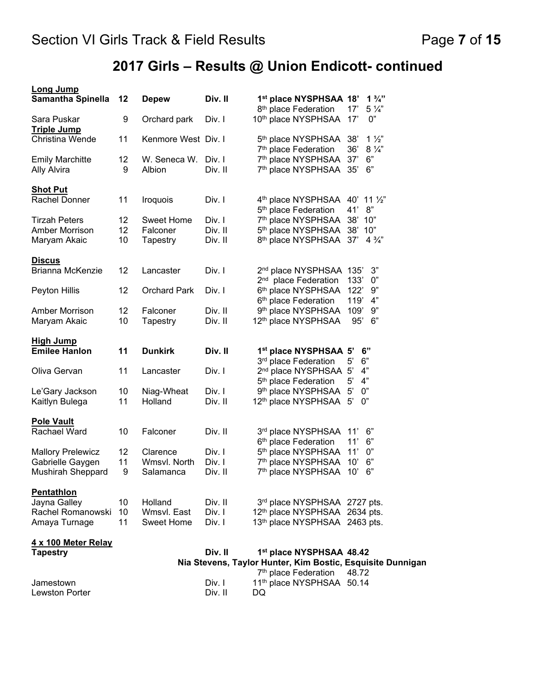# **2017 Girls – Results @ Union Endicott- continued**

| <b>Long Jump</b><br><b>Samantha Spinella</b> | 12      | <b>Depew</b>           | Div. II           | 1st place NYSPHSAA 18'                                                            | $1\frac{3}{4}$          |
|----------------------------------------------|---------|------------------------|-------------------|-----------------------------------------------------------------------------------|-------------------------|
|                                              |         |                        |                   | 8 <sup>th</sup> place Federation                                                  | $5\frac{1}{4}$<br>17'   |
| Sara Puskar<br><u>Triple Jump</u>            | 9       | Orchard park           | Div. I            | 10 <sup>th</sup> place NYSPHSAA                                                   | 0"<br>17'               |
| Christina Wende                              | 11      | Kenmore West Div. I    |                   | 5 <sup>th</sup> place NYSPHSAA                                                    | $1\frac{1}{2}$<br>38'   |
|                                              |         |                        |                   | 7 <sup>th</sup> place Federation                                                  | 36'<br>$8\frac{1}{4}$   |
| <b>Emily Marchitte</b><br><b>Ally Alvira</b> | 12<br>9 | W. Seneca W.<br>Albion | Div. I<br>Div. II | 7 <sup>th</sup> place NYSPHSAA<br>7 <sup>th</sup> place NYSPHSAA                  | 37'<br>6"<br>6"<br>35'  |
| <b>Shot Put</b>                              |         |                        |                   |                                                                                   |                         |
| Rachel Donner                                | 11      | Iroquois               | Div. I            | $4th$ place NYSPHSAA $40'$ 11 $\frac{1}{2}$ "<br>5 <sup>th</sup> place Federation | 8"<br>41'               |
| <b>Tirzah Peters</b>                         | 12      | <b>Sweet Home</b>      | Div. I            | 7 <sup>th</sup> place NYSPHSAA                                                    | 38'<br>10"              |
| <b>Amber Morrison</b>                        | 12      | Falconer               | Div. II           | 5 <sup>th</sup> place NYSPHSAA                                                    | 38' 10"                 |
| Maryam Akaic                                 | 10      | Tapestry               | Div. II           | 8th place NYSPHSAA 37'                                                            | $4\frac{3}{4}$          |
| <b>Discus</b>                                |         |                        |                   |                                                                                   |                         |
| Brianna McKenzie                             | 12      | Lancaster              | Div. I            | 2 <sup>nd</sup> place NYSPHSAA 135'                                               | 3"                      |
|                                              |         |                        |                   | 2 <sup>nd</sup> place Federation                                                  | 133'<br>0"              |
| Peyton Hillis                                | 12      | <b>Orchard Park</b>    | Div. I            | 6 <sup>th</sup> place NYSPHSAA                                                    | 122'<br>9"              |
|                                              |         |                        |                   | 6 <sup>th</sup> place Federation                                                  | 119'<br>4"              |
| <b>Amber Morrison</b>                        | 12      | Falconer               | Div. II           | 9 <sup>th</sup> place NYSPHSAA                                                    | 109'<br>9"              |
| Maryam Akaic                                 | 10      | Tapestry               | Div. II           | 12 <sup>th</sup> place NYSPHSAA                                                   | 95'<br>6"               |
| <b>High Jump</b>                             |         |                        |                   |                                                                                   |                         |
| <b>Emilee Hanlon</b>                         | 11      | <b>Dunkirk</b>         | Div. II           | 1 <sup>st</sup> place NYSPHSAA 5'<br>3 <sup>rd</sup> place Federation             | 6"<br>6"<br>$5^{\circ}$ |
| Oliva Gervan                                 | 11      | Lancaster              | Div. I            | 2 <sup>nd</sup> place NYSPHSAA 5'                                                 | 4"                      |
|                                              |         |                        |                   | 5 <sup>th</sup> place Federation                                                  | 5'<br>4"                |
| Le'Gary Jackson                              | 10      | Niag-Wheat             | Div. I            | 9 <sup>th</sup> place NYSPHSAA                                                    | $5^{\circ}$<br>0"       |
| Kaitlyn Bulega                               | 11      | Holland                | Div. II           | 12 <sup>th</sup> place NYSPHSAA                                                   | $5^{\circ}$<br>0"       |
| <b>Pole Vault</b>                            |         |                        |                   |                                                                                   |                         |
| Rachael Ward                                 | 10      | Falconer               | Div. II           | 3rd place NYSPHSAA                                                                | 6"<br>11'               |
|                                              |         |                        |                   | 6 <sup>th</sup> place Federation                                                  | 11'<br>6"               |
| <b>Mallory Prelewicz</b>                     | 12      | Clarence               | Div. I            | 5 <sup>th</sup> place NYSPHSAA                                                    | 11'<br>0"               |
| Gabrielle Gaygen                             | 11      | Wmsvl. North           | Div. I            | 7 <sup>th</sup> place NYSPHSAA                                                    | 10'<br>6"               |
| Mushirah Sheppard                            | 9       | Salamanca              | Div. II           | 7 <sup>th</sup> place NYSPHSAA                                                    | 6"<br>10'               |
| Pentathion                                   |         |                        |                   |                                                                                   |                         |
| Jayna Galley                                 | 10      | Holland                | Div. II           | 3rd place NYSPHSAA 2727 pts.                                                      |                         |
| Rachel Romanowski                            | 10      | Wmsvl. East            | Div. I            | 12th place NYSPHSAA 2634 pts.                                                     |                         |
| Amaya Turnage                                | 11      | Sweet Home             | Div. I            | 13th place NYSPHSAA 2463 pts.                                                     |                         |
| 4 x 100 Meter Relay<br><b>Tapestry</b>       |         |                        | Div. II           | 1st place NYSPHSAA 48.42                                                          |                         |
|                                              |         |                        |                   | Nia Stevens, Taylor Hunter, Kim Bostic, Esquisite Dunnigan                        |                         |
|                                              |         |                        |                   | 7 <sup>th</sup> place Federation                                                  | 48.72                   |
| Jamestown                                    |         |                        | Div. I            | 11th place NYSPHSAA 50.14                                                         |                         |
| <b>Lewston Porter</b>                        |         |                        | Div. II           | DQ                                                                                |                         |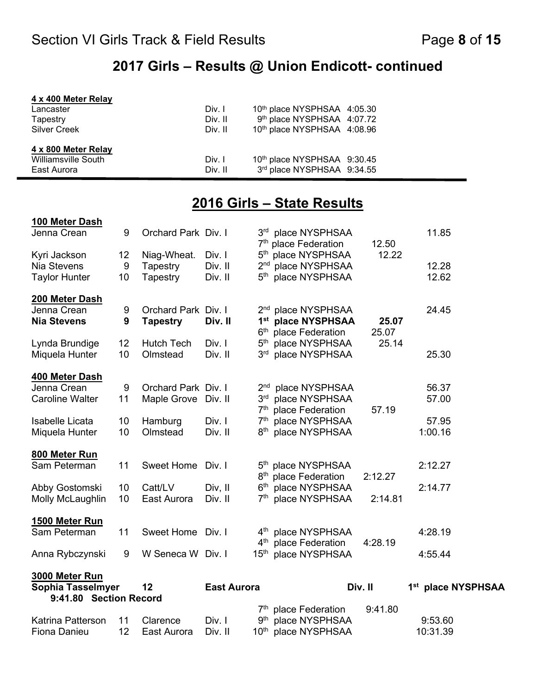### **2017 Girls – Results @ Union Endicott- continued**

| 4 x 400 Meter Relay |         |                             |
|---------------------|---------|-----------------------------|
| Lancaster           | Div. I  | 10th place NYSPHSAA 4:05.30 |
| Tapestry            | Div. II | 9th place NYSPHSAA 4:07.72  |
| <b>Silver Creek</b> | Div. II | 10th place NYSPHSAA 4:08.96 |
| 4 x 800 Meter Relay |         |                             |
| Williamsville South | Div. I  | 10th place NYSPHSAA 9:30.45 |
| East Aurora         | Div. II | 3rd place NYSPHSAA 9:34.55  |

## **2016 Girls – State Results**

| 100 Meter Dash                                              |          |                         |                    |                                                          |                                                      |         |                                |  |
|-------------------------------------------------------------|----------|-------------------------|--------------------|----------------------------------------------------------|------------------------------------------------------|---------|--------------------------------|--|
| Jenna Crean                                                 | 9        | Orchard Park Div. I     |                    | 3 <sup>rd</sup>                                          | place NYSPHSAA<br>7 <sup>th</sup> place Federation   | 12.50   | 11.85                          |  |
| Kyri Jackson                                                | 12       | Niag-Wheat.             | Div. I             | 5 <sup>th</sup>                                          | place NYSPHSAA                                       | 12.22   |                                |  |
| Nia Stevens                                                 | 9        | Tapestry                | Div. II            | 2 <sub>nd</sub>                                          | place NYSPHSAA                                       |         | 12.28                          |  |
| <b>Taylor Hunter</b>                                        | 10       | Tapestry                | Div. II            | 5 <sup>th</sup>                                          | place NYSPHSAA                                       |         | 12.62                          |  |
| 200 Meter Dash                                              |          |                         |                    |                                                          |                                                      |         |                                |  |
| Jenna Crean                                                 | 9        | Orchard Park Div. I     |                    | 2 <sup>nd</sup>                                          | place NYSPHSAA                                       |         | 24.45                          |  |
| <b>Nia Stevens</b>                                          | 9        | <b>Tapestry</b>         | Div. II            | 1 <sup>st</sup>                                          | place NYSPHSAA                                       | 25.07   |                                |  |
|                                                             |          |                         |                    | 6 <sup>th</sup>                                          | place Federation                                     | 25.07   |                                |  |
| Lynda Brundige                                              | 12       | <b>Hutch Tech</b>       | Div. I             | $5^{\text{th}}$                                          | place NYSPHSAA                                       | 25.14   |                                |  |
| Miquela Hunter                                              | 10       | Olmstead                | Div. II            | 3 <sup>rd</sup>                                          | place NYSPHSAA                                       |         | 25.30                          |  |
| 400 Meter Dash                                              |          |                         |                    |                                                          |                                                      |         |                                |  |
| Jenna Crean                                                 | 9        | Orchard Park Div. I     |                    | 2 <sup>nd</sup>                                          | place NYSPHSAA                                       |         | 56.37                          |  |
| <b>Caroline Walter</b>                                      | 11       | Maple Grove Div. II     |                    | 3 <sup>rd</sup>                                          | place NYSPHSAA                                       |         | 57.00                          |  |
|                                                             |          |                         |                    | 7 <sup>th</sup>                                          | place Federation                                     | 57.19   |                                |  |
| <b>Isabelle Licata</b>                                      | 10       | Hamburg                 | Div. I             | 7 <sup>th</sup>                                          | place NYSPHSAA                                       |         | 57.95                          |  |
| Miquela Hunter                                              | 10       | Olmstead                | Div. II            | 8 <sup>th</sup>                                          | place NYSPHSAA                                       |         | 1:00.16                        |  |
| 800 Meter Run                                               |          |                         |                    |                                                          |                                                      |         |                                |  |
| Sam Peterman                                                | 11       | <b>Sweet Home</b>       | Div. I             |                                                          | 5 <sup>th</sup> place NYSPHSAA                       |         | 2:12.27                        |  |
|                                                             |          |                         |                    | 8 <sup>th</sup>                                          | place Federation                                     | 2:12.27 |                                |  |
| Abby Gostomski                                              | 10       | Catt/LV                 | Div, II            | 6 <sup>th</sup>                                          | place NYSPHSAA                                       |         | 2:14.77                        |  |
| Molly McLaughlin                                            | 10       | East Aurora             | Div. II            | 7 <sup>th</sup>                                          | place NYSPHSAA                                       | 2:14.81 |                                |  |
| 1500 Meter Run                                              |          |                         |                    |                                                          |                                                      |         |                                |  |
| Sam Peterman                                                | 11       | <b>Sweet Home</b>       | Div. I             | $4^{\text{th}}$                                          | place NYSPHSAA                                       |         | 4:28.19                        |  |
|                                                             |          |                         |                    | 4 <sup>th</sup>                                          | place Federation                                     | 4:28.19 |                                |  |
| Anna Rybczynski                                             | 9        | W Seneca W Div. I       |                    | 15 <sup>th</sup>                                         | place NYSPHSAA                                       |         | 4:55.44                        |  |
| 3000 Meter Run                                              |          |                         |                    |                                                          |                                                      |         |                                |  |
| Sophia Tasselmyer                                           |          | 12                      | <b>East Aurora</b> |                                                          |                                                      | Div. II | 1 <sup>st</sup> place NYSPHSAA |  |
|                                                             |          |                         |                    |                                                          |                                                      |         |                                |  |
|                                                             |          |                         |                    |                                                          |                                                      |         |                                |  |
|                                                             |          |                         |                    |                                                          |                                                      |         |                                |  |
| 9:41.80 Section Record<br>Katrina Patterson<br>Fiona Danieu | 11<br>12 | Clarence<br>East Aurora | Div. I<br>Div. II  | $7^{\mathsf{th}}$<br>9 <sup>th</sup><br>10 <sup>th</sup> | place Federation<br>place NYSPHSAA<br>place NYSPHSAA | 9:41.80 | 9:53.60<br>10:31.39            |  |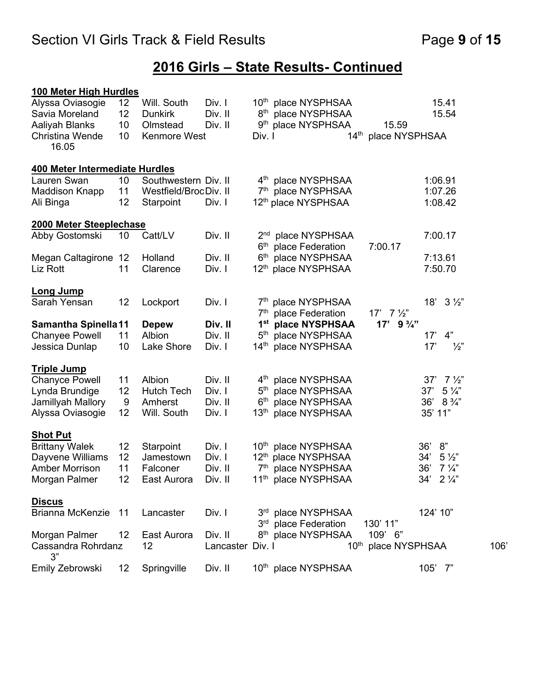## **2016 Girls – State Results- Continued**

| 100 Meter High Hurdles         |                 |                       |                  |                  |                                                        |                         |                         |      |
|--------------------------------|-----------------|-----------------------|------------------|------------------|--------------------------------------------------------|-------------------------|-------------------------|------|
| Alyssa Oviasogie               | 12              | Will. South           | Div. I           |                  | 10 <sup>th</sup> place NYSPHSAA                        |                         | 15.41                   |      |
| Savia Moreland                 | 12              | <b>Dunkirk</b>        | Div. II          |                  | 8 <sup>th</sup> place NYSPHSAA                         |                         | 15.54                   |      |
| Aaliyah Blanks                 | 10              | Olmstead              | Div. II          |                  | 9 <sup>th</sup> place NYSPHSAA                         | 15.59                   |                         |      |
| Christina Wende<br>16.05       | 10              | <b>Kenmore West</b>   |                  | Div. I           | $14^{\text{th}}$                                       | place NYSPHSAA          |                         |      |
| 400 Meter Intermediate Hurdles |                 |                       |                  |                  |                                                        |                         |                         |      |
| Lauren Swan                    | 10 <sup>°</sup> | Southwestern Div. II  |                  |                  | 4 <sup>th</sup> place NYSPHSAA                         |                         | 1:06.91                 |      |
| <b>Maddison Knapp</b>          | 11              | Westfield/BrocDiv. II |                  |                  | 7th place NYSPHSAA                                     |                         | 1:07.26                 |      |
| Ali Binga                      | 12              | Starpoint             | Div. I           |                  | 12 <sup>th</sup> place NYSPHSAA                        |                         | 1:08.42                 |      |
| 2000 Meter Steeplechase        |                 |                       |                  |                  |                                                        |                         |                         |      |
| Abby Gostomski                 | 10              | Catt/LV               | Div. II          | 2 <sup>nd</sup>  | place NYSPHSAA                                         |                         | 7:00.17                 |      |
|                                |                 |                       |                  | 6 <sup>th</sup>  | place Federation                                       | 7:00.17                 |                         |      |
| Megan Caltagirone 12           |                 | Holland               | Div. II          | 6 <sup>th</sup>  | place NYSPHSAA                                         |                         | 7:13.61                 |      |
| Liz Rott                       | 11              | Clarence              | Div. I           |                  | 12 <sup>th</sup> place NYSPHSAA                        |                         | 7:50.70                 |      |
| <b>Long Jump</b>               |                 |                       |                  |                  |                                                        |                         |                         |      |
| Sarah Yensan                   | 12              | Lockport              | Div. I           |                  | 7 <sup>th</sup> place NYSPHSAA                         |                         | 18'<br>$3\frac{1}{2}$   |      |
|                                |                 |                       |                  | 7 <sup>th</sup>  | place Federation                                       | $17'$ 7 $\frac{1}{2}$   |                         |      |
| <b>Samantha Spinella11</b>     |                 | <b>Depew</b>          | Div. II          | 1 <sup>st</sup>  | place NYSPHSAA                                         | $17'$ 9 $\frac{3}{4}''$ |                         |      |
| <b>Chanyee Powell</b>          | 11              | Albion                | Div. II          | 5 <sup>th</sup>  | place NYSPHSAA                                         |                         | 4"<br>17'               |      |
| Jessica Dunlap                 | 10              | Lake Shore            | Div. I           | 14 <sup>th</sup> | place NYSPHSAA                                         |                         | $\frac{1}{2}$<br>17'    |      |
| <u>Triple Jump</u>             |                 |                       |                  |                  |                                                        |                         |                         |      |
| <b>Chanyce Powell</b>          | 11              | Albion                | Div. II          |                  | 4 <sup>th</sup> place NYSPHSAA                         |                         | $7\frac{1}{2}$<br>37'   |      |
| Lynda Brundige                 | 12              | <b>Hutch Tech</b>     | Div. I           | 5 <sup>th</sup>  | place NYSPHSAA                                         |                         | $5\frac{1}{4}$<br>37'   |      |
| Jamillyah Mallory              | 9               | Amherst               | Div. II          | 6 <sup>th</sup>  | place NYSPHSAA                                         |                         | $8\frac{3}{4}$ "<br>36' |      |
| Alyssa Oviasogie               | 12              | Will. South           | Div. I           |                  | 13 <sup>th</sup> place NYSPHSAA                        |                         | 35' 11"                 |      |
| <b>Shot Put</b>                |                 |                       |                  |                  |                                                        |                         |                         |      |
| <b>Brittany Walek</b>          | 12              | Starpoint             | Div. I           |                  | 10 <sup>th</sup> place NYSPHSAA                        |                         | 8"<br>36'               |      |
| Dayvene Williams               | 12              | Jamestown             | Div. I           | $12^{\text{th}}$ | place NYSPHSAA                                         |                         | $5\frac{1}{2}$<br>34'   |      |
| <b>Amber Morrison</b>          | 11              | Falconer              | Div. II          | 7 <sup>th</sup>  | place NYSPHSAA                                         |                         | 36'<br>$7\frac{1}{4}$   |      |
| Morgan Palmer                  | 12              | East Aurora Div. II   |                  |                  | 11 <sup>th</sup> place NYSPHSAA                        |                         | 34'<br>$2\frac{1}{4}$   |      |
| <b>Discus</b>                  |                 |                       |                  |                  |                                                        |                         |                         |      |
| Brianna McKenzie 11            |                 | Lancaster             | Div. I           |                  | 3rd place NYSPHSAA<br>3 <sup>rd</sup> place Federation | 130' 11"                | 124' 10"                |      |
| Morgan Palmer                  | 12              | East Aurora           | Div. II          |                  | 8 <sup>th</sup> place NYSPHSAA                         | 109' 6"                 |                         |      |
| Cassandra Rohrdanz<br>3"       |                 | 12                    | Lancaster Div. I |                  |                                                        | 10th place NYSPHSAA     |                         | 106' |
| Emily Zebrowski                | 12              | Springville           | Div. II          |                  | 10th place NYSPHSAA                                    |                         | 105' 7"                 |      |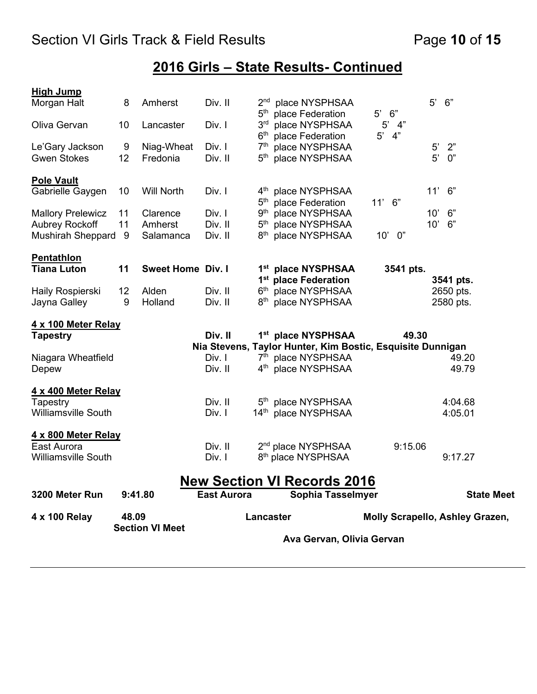## **2016 Girls – State Results- Continued**

|                                                                               | <b>Section VI Meet</b> |                                  |                              | Ava Gervan, Olivia Gervan                             |                                                                                                                                          |                                        |                                         |  |  |
|-------------------------------------------------------------------------------|------------------------|----------------------------------|------------------------------|-------------------------------------------------------|------------------------------------------------------------------------------------------------------------------------------------------|----------------------------------------|-----------------------------------------|--|--|
| 4 x 100 Relay                                                                 | 48.09                  |                                  |                              |                                                       | Lancaster                                                                                                                                |                                        | <b>Molly Scrapello, Ashley Grazen,</b>  |  |  |
| 3200 Meter Run                                                                | 9:41.80                |                                  |                              | <b>East Aurora</b>                                    | <b>New Section VI Records 2016</b><br>Sophia Tasselmyer                                                                                  |                                        | <b>State Meet</b>                       |  |  |
| 4 x 800 Meter Relay<br>East Aurora<br><b>Williamsville South</b>              |                        |                                  | Div. II<br>Div. I            |                                                       | 2 <sup>nd</sup> place NYSPHSAA<br>8 <sup>th</sup> place NYSPHSAA                                                                         | 9:15.06                                | 9:17.27                                 |  |  |
| 4 x 400 Meter Relay<br>Tapestry<br><b>Williamsville South</b>                 |                        |                                  | Div. II<br>Div. I            |                                                       | 5 <sup>th</sup> place NYSPHSAA<br>14th place NYSPHSAA                                                                                    |                                        | 4:04.68<br>4:05.01                      |  |  |
| <b>Tapestry</b><br>Niagara Wheatfield<br>Depew                                |                        |                                  | Div. II<br>Div. I<br>Div. II |                                                       | 1st place NYSPHSAA<br>Nia Stevens, Taylor Hunter, Kim Bostic, Esquisite Dunnigan<br>7th place NYSPHSAA<br>4 <sup>th</sup> place NYSPHSAA | 49.30                                  | 49.20<br>49.79                          |  |  |
| 4 x 100 Meter Relay                                                           |                        |                                  |                              |                                                       |                                                                                                                                          |                                        |                                         |  |  |
| Haily Rospierski<br>Jayna Galley                                              | 12<br>9                | Alden<br>Holland                 | Div. II<br>Div. II           |                                                       | 1 <sup>st</sup> place Federation<br>6th place NYSPHSAA<br>8 <sup>th</sup> place NYSPHSAA                                                 |                                        | 3541 pts.<br>2650 pts.<br>2580 pts.     |  |  |
| <b>Pentathlon</b><br><b>Tiana Luton</b>                                       | 11                     | <b>Sweet Home Div. I</b>         |                              |                                                       | 1st place NYSPHSAA                                                                                                                       | 3541 pts.                              |                                         |  |  |
| <b>Mallory Prelewicz</b><br><b>Aubrey Rockoff</b><br><b>Mushirah Sheppard</b> | 11<br>11<br>9          | Clarence<br>Amherst<br>Salamanca | Div. I<br>Div. II<br>Div. II | 9 <sup>th</sup><br>5 <sup>th</sup><br>8 <sup>th</sup> | place NYSPHSAA<br>place NYSPHSAA<br>place NYSPHSAA                                                                                       | 0"<br>10'                              | 6"<br>10'<br>10'<br>6"                  |  |  |
| <b>Pole Vault</b><br>Gabrielle Gaygen                                         | 10                     | <b>Will North</b>                | Div. I                       |                                                       | 4 <sup>th</sup> place NYSPHSAA<br>5 <sup>th</sup> place Federation                                                                       | 11' 6"                                 | 11'<br>6"                               |  |  |
| Le'Gary Jackson<br><b>Gwen Stokes</b>                                         | 9<br>12                | Niag-Wheat<br>Fredonia           | Div. I<br>Div. II            | 6 <sup>th</sup><br>7 <sup>th</sup><br>$5^{\text{th}}$ | place Federation<br>place NYSPHSAA<br>place NYSPHSAA                                                                                     | 4"<br>$5^{\prime}$                     | 2"<br>$5^{\prime}$<br>$5^{\circ}$<br>0" |  |  |
| Oliva Gervan                                                                  | 10                     | Lancaster                        | Div. I                       | 5 <sup>th</sup><br>3 <sup>rd</sup>                    | place Federation<br>place NYSPHSAA                                                                                                       | $5^{\circ}$<br>6"<br>$5^{\circ}$<br>4" |                                         |  |  |
| <b>High Jump</b><br>Morgan Halt                                               | 8                      | Amherst                          | Div. II                      |                                                       | 2 <sup>nd</sup> place NYSPHSAA                                                                                                           |                                        | 5'<br>6"                                |  |  |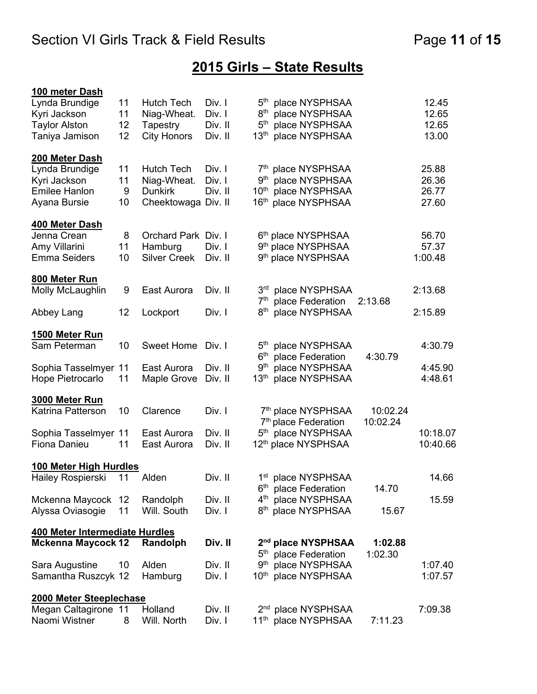## **2015 Girls – State Results**

| 100 meter Dash                 |      |                     |         |                  |                                                                    |                      |          |
|--------------------------------|------|---------------------|---------|------------------|--------------------------------------------------------------------|----------------------|----------|
| Lynda Brundige                 | 11   | <b>Hutch Tech</b>   | Div. I  |                  | 5 <sup>th</sup> place NYSPHSAA                                     |                      | 12.45    |
| Kyri Jackson                   | 11   | Niag-Wheat.         | Div. I  | $8^{\sf th}$     | place NYSPHSAA                                                     |                      | 12.65    |
| <b>Taylor Alston</b>           | 12   | Tapestry            | Div. II | 5 <sup>th</sup>  | place NYSPHSAA                                                     |                      | 12.65    |
| Taniya Jamison                 | 12   | <b>City Honors</b>  | Div. II | 13 <sup>th</sup> | place NYSPHSAA                                                     |                      | 13.00    |
| 200 Meter Dash                 |      |                     |         |                  |                                                                    |                      |          |
| Lynda Brundige                 | 11   | <b>Hutch Tech</b>   | Div. I  |                  | 7 <sup>th</sup> place NYSPHSAA                                     |                      | 25.88    |
| Kyri Jackson                   | 11   | Niag-Wheat.         | Div. I  |                  | 9 <sup>th</sup> place NYSPHSAA                                     |                      | 26.36    |
| <b>Emilee Hanlon</b>           | 9    | <b>Dunkirk</b>      | Div. II | 10 <sup>th</sup> | place NYSPHSAA                                                     |                      | 26.77    |
| Ayana Bursie                   | 10   | Cheektowaga Div. II |         |                  | 16 <sup>th</sup> place NYSPHSAA                                    |                      | 27.60    |
| 400 Meter Dash                 |      |                     |         |                  |                                                                    |                      |          |
| Jenna Crean                    | 8    | Orchard Park Div. I |         |                  | 6 <sup>th</sup> place NYSPHSAA                                     |                      | 56.70    |
| Amy Villarini                  | 11   | Hamburg             | Div. I  |                  | 9 <sup>th</sup> place NYSPHSAA                                     |                      | 57.37    |
| <b>Emma Seiders</b>            | 10   | <b>Silver Creek</b> | Div. II |                  | 9 <sup>th</sup> place NYSPHSAA                                     |                      | 1:00.48  |
| 800 Meter Run                  |      |                     |         |                  |                                                                    |                      |          |
| Molly McLaughlin               | 9    | East Aurora         | Div. II |                  | 3rd place NYSPHSAA                                                 |                      | 2:13.68  |
|                                |      |                     |         | 7 <sup>th</sup>  | place Federation                                                   | 2:13.68              |          |
| Abbey Lang                     | 12   | Lockport            | Div. I  | 8 <sup>th</sup>  | place NYSPHSAA                                                     |                      | 2:15.89  |
| 1500 Meter Run                 |      |                     |         |                  |                                                                    |                      |          |
| Sam Peterman                   | 10   | <b>Sweet Home</b>   | Div. I  |                  | 5 <sup>th</sup> place NYSPHSAA                                     |                      | 4:30.79  |
|                                |      |                     |         | 6 <sup>th</sup>  | place Federation                                                   | 4:30.79              |          |
| Sophia Tasselmyer 11           |      | East Aurora         | Div. II | 9 <sup>th</sup>  | place NYSPHSAA                                                     |                      | 4:45.90  |
| Hope Pietrocarlo               | 11   | Maple Grove         | Div. II | 13 <sup>th</sup> | place NYSPHSAA                                                     |                      | 4:48.61  |
| 3000 Meter Run                 |      |                     |         |                  |                                                                    |                      |          |
| Katrina Patterson              | 10   | Clarence            | Div. I  |                  | 7th place NYSPHSAA<br>7 <sup>th</sup> place Federation             | 10:02.24<br>10:02.24 |          |
| Sophia Tasselmyer 11           |      | East Aurora         | Div. II |                  | 5 <sup>th</sup> place NYSPHSAA                                     |                      | 10:18.07 |
| Fiona Danieu                   | 11   | East Aurora         | Div. II |                  | 12 <sup>th</sup> place NYSPHSAA                                    |                      | 10:40.66 |
| 100 Meter High Hurdles         |      |                     |         |                  |                                                                    |                      |          |
| Hailey Rospierski              | - 11 | Alden               | Div. II |                  | 1st place NYSPHSAA                                                 |                      | 14.66    |
|                                |      |                     |         | 6 <sup>th</sup>  | place Federation                                                   | 14.70                |          |
| Mckenna Maycock 12             |      | Randolph            | Div. II |                  | 4 <sup>th</sup> place NYSPHSAA                                     |                      | 15.59    |
| Alyssa Oviasogie               | 11   | Will. South         | Div. I  |                  | 8 <sup>th</sup> place NYSPHSAA                                     | 15.67                |          |
| 400 Meter Intermediate Hurdles |      |                     |         |                  |                                                                    |                      |          |
| <b>Mckenna Maycock 12</b>      |      | Randolph            | Div. II |                  | 2 <sup>nd</sup> place NYSPHSAA<br>5 <sup>th</sup> place Federation | 1:02.88<br>1:02.30   |          |
| Sara Augustine                 | 10   | Alden               | Div. II |                  | 9 <sup>th</sup> place NYSPHSAA                                     |                      | 1:07.40  |
| Samantha Ruszcyk 12            |      | Hamburg             | Div. I  |                  | 10th place NYSPHSAA                                                |                      | 1:07.57  |
| 2000 Meter Steeplechase        |      |                     |         |                  |                                                                    |                      |          |
| Megan Caltagirone 11           |      | Holland             | Div. II |                  | 2 <sup>nd</sup> place NYSPHSAA                                     |                      | 7:09.38  |
| Naomi Wistner                  | 8    | Will. North         | Div. I  |                  | 11 <sup>th</sup> place NYSPHSAA                                    | 7:11.23              |          |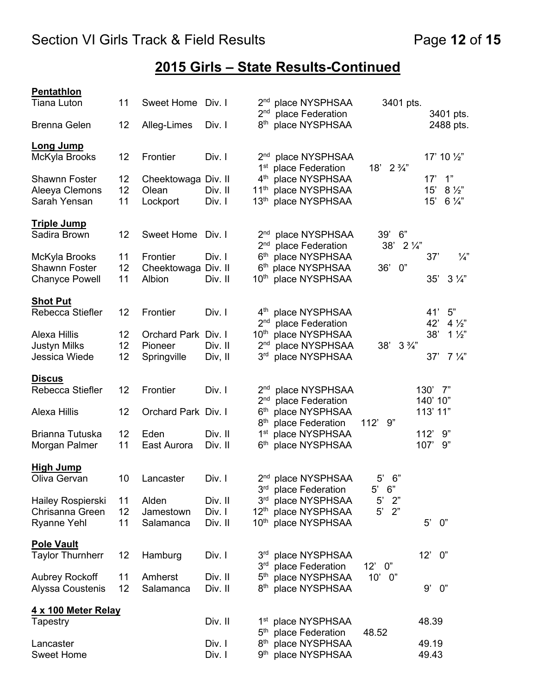## **2015 Girls – State Results-Continued**

#### **Pentathlon**

| Tiana Luton                           | 11       | Sweet Home Div. I             |         | 2 <sup>nd</sup> place NYSPHSAA<br>2 <sub>nd</sub><br>place Federation | 3401 pts.               | 3401 pts.              |
|---------------------------------------|----------|-------------------------------|---------|-----------------------------------------------------------------------|-------------------------|------------------------|
| <b>Brenna Gelen</b>                   | 12       | Alleg-Limes                   | Div. I  | 8 <sup>th</sup><br>place NYSPHSAA                                     |                         | 2488 pts.              |
| <b>Long Jump</b><br>McKyla Brooks     | 12       | Frontier                      | Div. I  | 2 <sup>nd</sup> place NYSPHSAA                                        |                         | 17' 10 $\frac{1}{2}$ " |
| <b>Shawnn Foster</b>                  | 12       |                               |         | 1 <sup>st</sup> place Federation<br>4 <sup>th</sup> place NYSPHSAA    | $18'$ 2 $\frac{3}{4}''$ | 1"<br>17'              |
| Aleeya Clemons                        | 12       | Cheektowaga Div. II<br>Olean  | Div. II | 11 <sup>th</sup> place NYSPHSAA                                       |                         | $8\frac{1}{2}$<br>15'  |
| Sarah Yensan                          | 11       | Lockport                      | Div. I  | 13th place NYSPHSAA                                                   |                         | 15'<br>$6\frac{1}{4}$  |
| <b>Triple Jump</b>                    |          |                               |         |                                                                       |                         |                        |
| Sadira Brown                          | 12       | <b>Sweet Home</b>             | Div. I  | place NYSPHSAA<br>2 <sup>nd</sup>                                     | 39'<br>6"               |                        |
|                                       |          |                               |         | 2 <sup>nd</sup><br>place Federation                                   | 38' 2 1/4"              |                        |
| McKyla Brooks<br><b>Shawnn Foster</b> | 11<br>12 | Frontier                      | Div. I  | 6th place NYSPHSAA<br>6th place NYSPHSAA                              | 0"<br>36'               | $\frac{1}{4}$<br>37'   |
| <b>Chanyce Powell</b>                 | 11       | Cheektowaga Div. II<br>Albion | Div. II | 10 <sup>th</sup> place NYSPHSAA                                       |                         | 35'<br>$3\frac{1}{4}$  |
|                                       |          |                               |         |                                                                       |                         |                        |
| <b>Shot Put</b>                       |          |                               |         |                                                                       |                         |                        |
| Rebecca Stiefler                      | 12       | Frontier                      | Div. I  | 4 <sup>th</sup> place NYSPHSAA                                        |                         | 41' 5"                 |
|                                       |          |                               |         | 2 <sup>nd</sup> place Federation                                      |                         | 42'<br>$4\frac{1}{2}$  |
| Alexa Hillis                          | 12       | Orchard Park Div. I           |         | $10^{\sf th}$<br>place NYSPHSAA                                       |                         | 38'<br>$1\frac{1}{2}$  |
| <b>Justyn Milks</b>                   | 12       | Pioneer                       | Div. II | 2 <sup>nd</sup><br>place NYSPHSAA                                     | $3\frac{3}{4}$<br>38'   |                        |
| Jessica Wiede                         | 12       | Springville                   | Div, II | 3 <sup>rd</sup><br>place NYSPHSAA                                     |                         | $7\frac{1}{4}$<br>37'  |
| <b>Discus</b>                         |          |                               |         |                                                                       |                         |                        |
| Rebecca Stiefler                      | 12       | Frontier                      | Div. I  | 2 <sup>nd</sup> place NYSPHSAA                                        |                         | 130' 7"                |
|                                       |          |                               |         | 2 <sub>nd</sub><br>place Federation                                   |                         | 140' 10"               |
| Alexa Hillis                          | 12       | Orchard Park Div. I           |         | 6 <sup>th</sup><br>place NYSPHSAA                                     |                         | 113' 11"               |
|                                       |          |                               |         | 8 <sup>th</sup><br>place Federation                                   | 112'<br>9"              |                        |
| Brianna Tutuska                       | 12       | Eden                          | Div. II | 1 <sup>st</sup> place NYSPHSAA                                        |                         | 9"<br>112'             |
| Morgan Palmer                         | 11       | East Aurora                   | Div. II | 6th place NYSPHSAA                                                    |                         | 107'<br>9"             |
| <b>High Jump</b>                      |          |                               |         |                                                                       |                         |                        |
| Oliva Gervan                          | 10       | Lancaster                     | Div. I  | 2 <sup>nd</sup> place NYSPHSAA                                        | $5'$ 6"                 |                        |
|                                       |          |                               |         | 3rd place Federation                                                  | $5'$ 6"                 |                        |
| Hailey Rospierski                     | 11       | Alden                         | Div. II | place NYSPHSAA<br>3 <sup>rd</sup>                                     | $5^{\circ}$<br>2"       |                        |
| Chrisanna Green                       | 12       | Jamestown                     | Div. I  | $12^{\text{th}}$<br>place NYSPHSAA                                    | $5^{\prime}$<br>2"      |                        |
| <b>Ryanne Yehl</b>                    | 11       | Salamanca                     | Div. II | place NYSPHSAA<br>$10^{\sf th}$                                       |                         | $5^{\prime}$<br>0"     |
| <b>Pole Vault</b>                     |          |                               |         |                                                                       |                         |                        |
| <b>Taylor Thurnherr</b>               | 12       | Hamburg                       | Div. I  | 3 <sup>rd</sup><br>place NYSPHSAA                                     |                         | 0"<br>12'              |
|                                       |          |                               |         | 3 <sub>rd</sub><br>place Federation                                   | 12'<br>0"               |                        |
| <b>Aubrey Rockoff</b>                 | 11       | Amherst                       | Div. II | $5^{\text{th}}$<br>place NYSPHSAA                                     | 10'<br>0"               |                        |
| Alyssa Coustenis                      | 12       | Salamanca                     | Div. II | 8 <sup>th</sup><br>place NYSPHSAA                                     |                         | 0"<br>9'               |
|                                       |          |                               |         |                                                                       |                         |                        |
| 4 x 100 Meter Relay                   |          |                               | Div. II |                                                                       |                         | 48.39                  |
| Tapestry                              |          |                               |         | 1 <sup>st</sup> place NYSPHSAA<br>5 <sup>th</sup><br>place Federation | 48.52                   |                        |
| Lancaster                             |          |                               | Div. I  | 8 <sup>th</sup><br>place NYSPHSAA                                     |                         | 49.19                  |
| <b>Sweet Home</b>                     |          |                               | Div. I  | 9 <sup>th</sup> place NYSPHSAA                                        |                         | 49.43                  |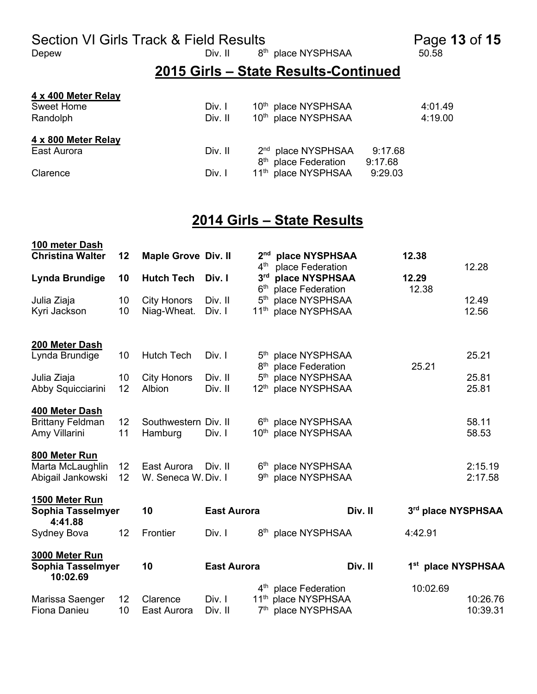Section VI Girls Track & Field Results<br>
Depew Div. II a<sup>th</sup> place NYSPHSAA 50.58<br>
Div. II a<sup>th</sup> place NYSPHSAA 50.58

8<sup>th</sup> place NYSPHSAA

#### **2015 Girls – State Results-Continued**

#### **4 x 400 Meter Relay**

| Sweet Home          | Div. I  | 10 <sup>th</sup> place NYSPHSAA  |         | 4:01.49 |
|---------------------|---------|----------------------------------|---------|---------|
| Randolph            | Div. II | 10 <sup>th</sup> place NYSPHSAA  |         | 4:19.00 |
| 4 x 800 Meter Relay |         |                                  |         |         |
| East Aurora         | Div. II | 2 <sup>nd</sup> place NYSPHSAA   | 9:17.68 |         |
|                     |         | 8 <sup>th</sup> place Federation | 9:17.68 |         |
| Clarence            | Div. I  | 11 <sup>th</sup> place NYSPHSAA  | 9:29.03 |         |

#### **2014 Girls – State Results**

| 100 meter Dash                       |          |                                   |                    |                                    |                                    |                    |          |
|--------------------------------------|----------|-----------------------------------|--------------------|------------------------------------|------------------------------------|--------------------|----------|
| <b>Christina Walter</b>              | 12       | <b>Maple Grove Div. II</b>        |                    | 2 <sub>nd</sub>                    | place NYSPHSAA                     | 12.38              |          |
|                                      |          |                                   |                    | $4^{\text{th}}$<br>3 <sup>rd</sup> | place Federation                   |                    | 12.28    |
| Lynda Brundige                       | 10       | <b>Hutch Tech</b>                 | Div. I             | 6 <sup>th</sup>                    | place NYSPHSAA                     | 12.29              |          |
|                                      |          |                                   | Div. II            | 5 <sup>th</sup>                    | place Federation<br>place NYSPHSAA | 12.38              | 12.49    |
| Julia Ziaja<br>Kyri Jackson          | 10<br>10 | <b>City Honors</b><br>Niag-Wheat. | Div. I             | 11 <sup>th</sup>                   | place NYSPHSAA                     |                    | 12.56    |
|                                      |          |                                   |                    |                                    |                                    |                    |          |
| 200 Meter Dash                       |          |                                   |                    |                                    |                                    |                    |          |
| Lynda Brundige                       | 10       | <b>Hutch Tech</b>                 | Div. I             |                                    | 5th place NYSPHSAA                 |                    | 25.21    |
|                                      |          |                                   |                    | 8 <sup>th</sup>                    | place Federation                   | 25.21              |          |
| Julia Ziaja                          | 10       | <b>City Honors</b>                | Div. II            | 5 <sup>th</sup>                    | place NYSPHSAA                     |                    | 25.81    |
| Abby Squicciarini                    | 12       | Albion                            | Div. II            | 12 <sup>th</sup>                   | place NYSPHSAA                     |                    | 25.81    |
| 400 Meter Dash                       |          |                                   |                    |                                    |                                    |                    |          |
| <b>Brittany Feldman</b>              | 12       | Southwestern Div. II              |                    |                                    | 6th place NYSPHSAA                 |                    | 58.11    |
| Amy Villarini                        | 11       | Hamburg                           | Div. I             |                                    | 10th place NYSPHSAA                |                    | 58.53    |
| 800 Meter Run                        |          |                                   |                    |                                    |                                    |                    |          |
| Marta McLaughlin                     | 12       | East Aurora                       | Div. II            |                                    | 6th place NYSPHSAA                 |                    | 2:15.19  |
| Abigail Jankowski                    | 12       | W. Seneca W. Div. I               |                    | 9 <sup>th</sup>                    | place NYSPHSAA                     |                    | 2:17.58  |
| 1500 Meter Run                       |          |                                   |                    |                                    |                                    |                    |          |
| Sophia Tasselmyer<br>4:41.88         |          | 10                                | <b>East Aurora</b> |                                    | Div. II                            | 3rd place NYSPHSAA |          |
| Sydney Bova                          | 12       | Frontier                          | Div. I             |                                    | 8 <sup>th</sup> place NYSPHSAA     | 4:42.91            |          |
| 3000 Meter Run                       |          |                                   |                    |                                    |                                    |                    |          |
| <b>Sophia Tasselmyer</b><br>10:02.69 |          | 10                                | <b>East Aurora</b> |                                    | Div. II                            | 1st place NYSPHSAA |          |
|                                      |          |                                   |                    |                                    | 4 <sup>th</sup> place Federation   | 10:02.69           |          |
| Marissa Saenger                      | 12       | Clarence                          | Div. I             | 11 <sup>th</sup>                   | place NYSPHSAA                     |                    | 10:26.76 |
| Fiona Danieu                         | 10       | East Aurora                       | Div. II            | 7 <sup>th</sup>                    | place NYSPHSAA                     |                    | 10:39.31 |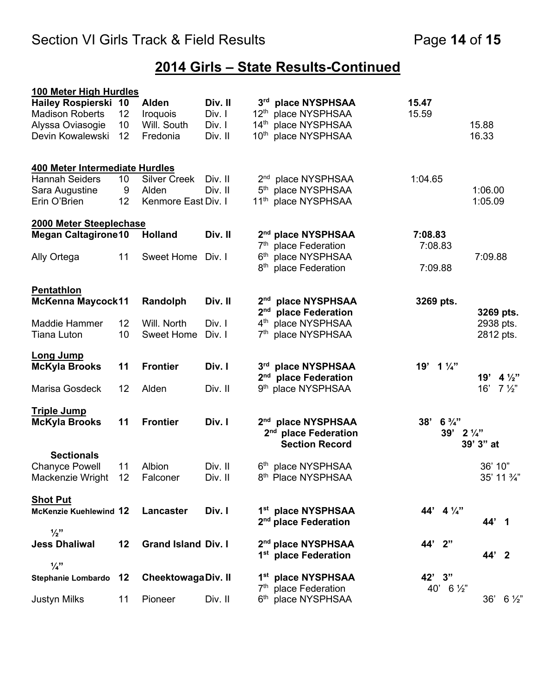## **2014 Girls – State Results-Continued**

| 100 Meter High Hurdles         |    |                            |         |                 |                                                           |           |                       |                      |                |
|--------------------------------|----|----------------------------|---------|-----------------|-----------------------------------------------------------|-----------|-----------------------|----------------------|----------------|
| <b>Hailey Rospierski 10</b>    |    | Alden                      | Div. II |                 | 3rd place NYSPHSAA                                        | 15.47     |                       |                      |                |
| <b>Madison Roberts</b>         | 12 | <b>Iroquois</b>            | Div. I  |                 | 12th place NYSPHSAA                                       | 15.59     |                       |                      |                |
| Alyssa Oviasogie               | 10 | Will. South                | Div. I  |                 | 14th place NYSPHSAA                                       |           |                       | 15.88                |                |
| Devin Kowalewski               | 12 | Fredonia                   | Div. II |                 | 10 <sup>th</sup> place NYSPHSAA                           |           |                       | 16.33                |                |
| 400 Meter Intermediate Hurdles |    |                            |         |                 |                                                           |           |                       |                      |                |
| <b>Hannah Seiders</b>          | 10 | <b>Silver Creek</b>        | Div. II |                 | 2 <sup>nd</sup> place NYSPHSAA                            | 1:04.65   |                       |                      |                |
| Sara Augustine                 | 9  | Alden                      | Div. II |                 | 5 <sup>th</sup> place NYSPHSAA                            |           |                       | 1:06.00              |                |
| Erin O'Brien                   | 12 | Kenmore East Div. I        |         |                 | 11 <sup>th</sup> place NYSPHSAA                           |           |                       | 1:05.09              |                |
| 2000 Meter Steeplechase        |    |                            |         |                 |                                                           |           |                       |                      |                |
| <b>Megan Caltagirone10</b>     |    | <b>Holland</b>             | Div. II |                 | 2 <sup>nd</sup> place NYSPHSAA                            | 7:08.83   |                       |                      |                |
|                                |    |                            |         |                 | 7 <sup>th</sup> place Federation                          | 7:08.83   |                       |                      |                |
| Ally Ortega                    | 11 | <b>Sweet Home</b>          | Div. I  | 6 <sup>th</sup> | place NYSPHSAA                                            |           |                       | 7:09.88              |                |
|                                |    |                            |         | 8 <sup>th</sup> | place Federation                                          | 7:09.88   |                       |                      |                |
| <b>Pentathlon</b>              |    |                            |         |                 |                                                           |           |                       |                      |                |
| <b>McKenna Maycock11</b>       |    | Randolph                   | Div. II |                 | 2 <sup>nd</sup> place NYSPHSAA                            | 3269 pts. |                       |                      |                |
|                                |    |                            |         | 2 <sup>nd</sup> | place Federation                                          |           |                       | 3269 pts.            |                |
| <b>Maddie Hammer</b>           | 12 | Will. North                | Div. I  |                 | 4 <sup>th</sup> place NYSPHSAA                            |           |                       | 2938 pts.            |                |
| <b>Tiana Luton</b>             | 10 | <b>Sweet Home</b>          | Div. I  |                 | 7th place NYSPHSAA                                        |           |                       | 2812 pts.            |                |
| <b>Long Jump</b>               |    |                            |         |                 |                                                           |           |                       |                      |                |
| <b>McKyla Brooks</b>           | 11 | <b>Frontier</b>            | Div. I  |                 | 3rd place NYSPHSAA                                        | 19'       | $1\frac{1}{4}$        |                      |                |
|                                |    |                            |         |                 | 2 <sup>nd</sup> place Federation                          |           |                       | 19' $4\frac{1}{2}$ " |                |
| Marisa Gosdeck                 | 12 | Alden                      | Div. II |                 | 9 <sup>th</sup> place NYSPHSAA                            |           |                       | 16'                  | $7\frac{1}{2}$ |
| <b>Triple Jump</b>             |    |                            |         |                 |                                                           |           |                       |                      |                |
| <b>McKyla Brooks</b>           | 11 | <b>Frontier</b>            | Div. I  |                 | 2 <sup>nd</sup> place NYSPHSAA                            | 38'       | $6\frac{3}{4}$ "      |                      |                |
|                                |    |                            |         |                 | 2 <sup>nd</sup> place Federation<br><b>Section Record</b> |           | $39'$ 2 $\frac{1}{4}$ | 39' 3" at            |                |
| <b>Sectionals</b>              |    |                            |         |                 |                                                           |           |                       |                      |                |
| <b>Chanyce Powell</b>          | 11 | Albion                     | Div. II |                 | 6th place NYSPHSAA                                        |           |                       | 36' 10"              |                |
| Mackenzie Wright 12 Falconer   |    |                            | Div. II |                 | 8 <sup>th</sup> Place NYSPHSAA                            |           |                       |                      | 35' 11 3/4"    |
| <b>Shot Put</b>                |    |                            |         |                 |                                                           |           |                       |                      |                |
| <b>McKenzie Kuehlewind 12</b>  |    | Lancaster                  | Div. I  |                 | 1st place NYSPHSAA<br>2 <sup>nd</sup> place Federation    |           | 44' $4\frac{1}{4}$ "  | 44' 1                |                |
| $\frac{1}{2}$                  |    |                            |         |                 |                                                           |           |                       |                      |                |
| <b>Jess Dhaliwal</b>           | 12 | <b>Grand Island Div. I</b> |         |                 | 2 <sup>nd</sup> place NYSPHSAA                            | 44' 2"    |                       |                      |                |
| $\frac{1}{4}$                  |    |                            |         |                 | 1 <sup>st</sup> place Federation                          |           |                       | 44' 2                |                |
| Stephanie Lombardo 12          |    | <b>CheektowagaDiv. II</b>  |         |                 | 1st place NYSPHSAA                                        | 42' 3"    |                       |                      |                |
|                                |    |                            |         |                 | 7 <sup>th</sup> place Federation                          |           | 40' $6\frac{1}{2}$ "  |                      |                |
| <b>Justyn Milks</b>            | 11 | Pioneer                    | Div. II |                 | 6th place NYSPHSAA                                        |           |                       | 36'                  | $6\frac{1}{2}$ |